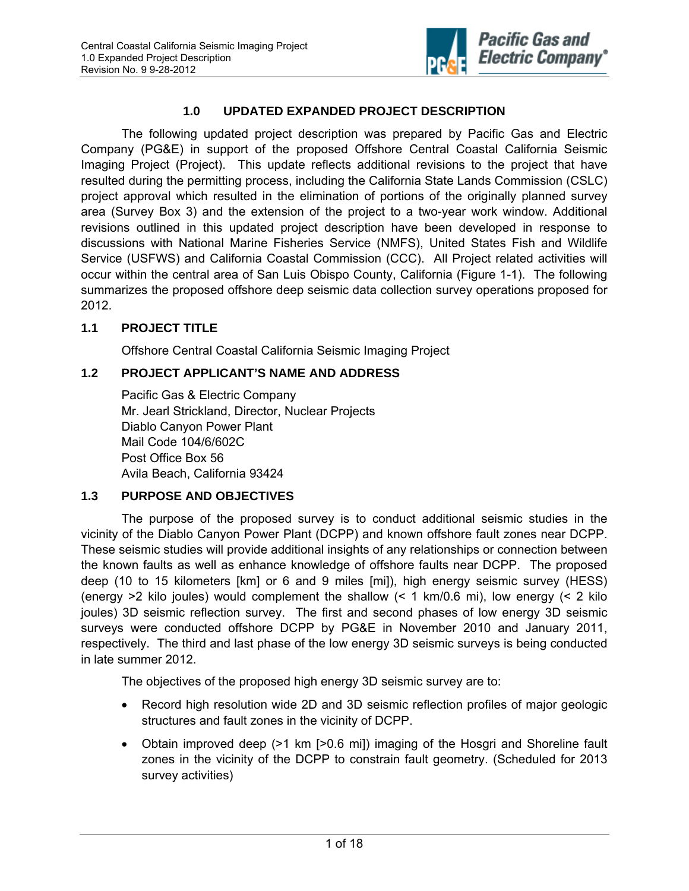

# **1.0 UPDATED EXPANDED PROJECT DESCRIPTION**

The following updated project description was prepared by Pacific Gas and Electric Company (PG&E) in support of the proposed Offshore Central Coastal California Seismic Imaging Project (Project). This update reflects additional revisions to the project that have resulted during the permitting process, including the California State Lands Commission (CSLC) project approval which resulted in the elimination of portions of the originally planned survey area (Survey Box 3) and the extension of the project to a two-year work window. Additional revisions outlined in this updated project description have been developed in response to discussions with National Marine Fisheries Service (NMFS), United States Fish and Wildlife Service (USFWS) and California Coastal Commission (CCC). All Project related activities will occur within the central area of San Luis Obispo County, California (Figure 1-1). The following summarizes the proposed offshore deep seismic data collection survey operations proposed for 2012.

# **1.1 PROJECT TITLE**

Offshore Central Coastal California Seismic Imaging Project

### **1.2 PROJECT APPLICANT'S NAME AND ADDRESS**

Pacific Gas & Electric Company Mr. Jearl Strickland, Director, Nuclear Projects Diablo Canyon Power Plant Mail Code 104/6/602C Post Office Box 56 Avila Beach, California 93424

### **1.3 PURPOSE AND OBJECTIVES**

The purpose of the proposed survey is to conduct additional seismic studies in the vicinity of the Diablo Canyon Power Plant (DCPP) and known offshore fault zones near DCPP. These seismic studies will provide additional insights of any relationships or connection between the known faults as well as enhance knowledge of offshore faults near DCPP. The proposed deep (10 to 15 kilometers [km] or 6 and 9 miles [mi]), high energy seismic survey (HESS) (energy  $>2$  kilo joules) would complement the shallow  $(1 \text{ km}/0.6 \text{ mi})$ , low energy  $(2 \text{ kilo})$ joules) 3D seismic reflection survey. The first and second phases of low energy 3D seismic surveys were conducted offshore DCPP by PG&E in November 2010 and January 2011, respectively. The third and last phase of the low energy 3D seismic surveys is being conducted in late summer 2012.

The objectives of the proposed high energy 3D seismic survey are to:

- Record high resolution wide 2D and 3D seismic reflection profiles of major geologic structures and fault zones in the vicinity of DCPP.
- Obtain improved deep (>1 km [>0.6 mi]) imaging of the Hosgri and Shoreline fault zones in the vicinity of the DCPP to constrain fault geometry. (Scheduled for 2013 survey activities)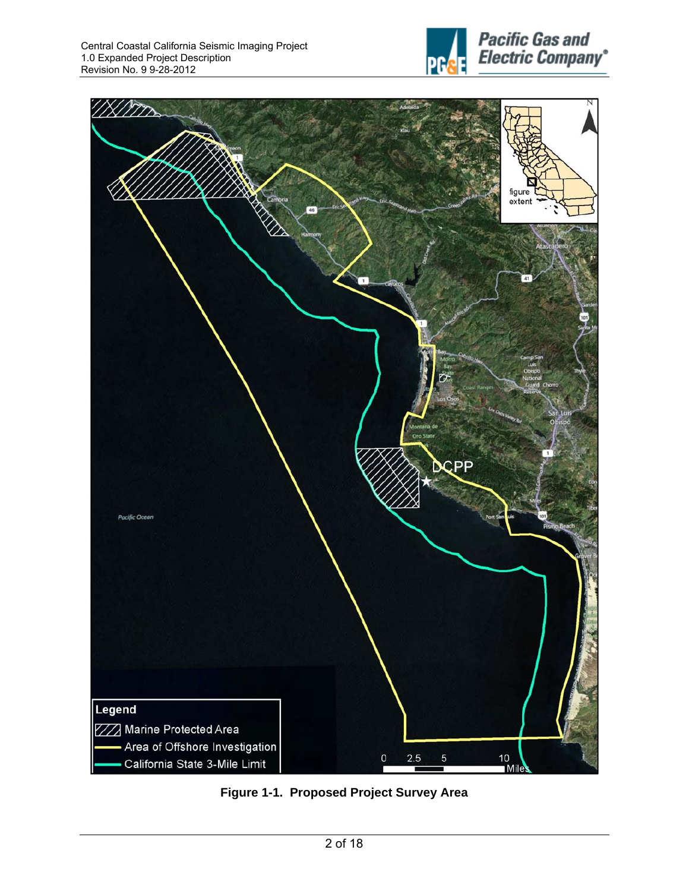



**Figure 1-1. Proposed Project Survey Area**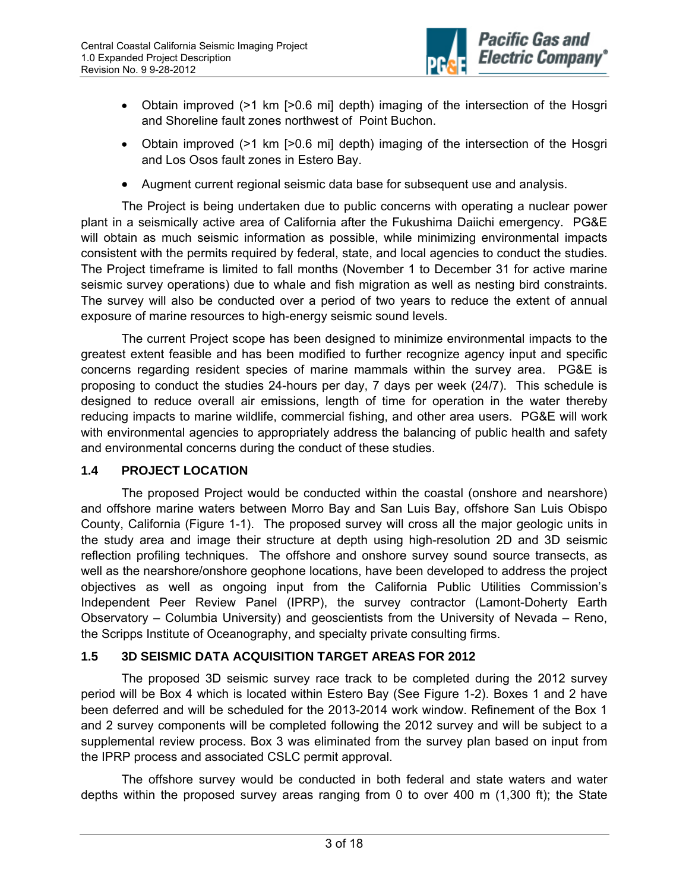

- Obtain improved (>1 km [>0.6 mi] depth) imaging of the intersection of the Hosgri and Shoreline fault zones northwest of Point Buchon.
- Obtain improved (>1 km [>0.6 mi] depth) imaging of the intersection of the Hosgri and Los Osos fault zones in Estero Bay.
- Augment current regional seismic data base for subsequent use and analysis.

The Project is being undertaken due to public concerns with operating a nuclear power plant in a seismically active area of California after the Fukushima Daiichi emergency. PG&E will obtain as much seismic information as possible, while minimizing environmental impacts consistent with the permits required by federal, state, and local agencies to conduct the studies. The Project timeframe is limited to fall months (November 1 to December 31 for active marine seismic survey operations) due to whale and fish migration as well as nesting bird constraints. The survey will also be conducted over a period of two years to reduce the extent of annual exposure of marine resources to high-energy seismic sound levels.

The current Project scope has been designed to minimize environmental impacts to the greatest extent feasible and has been modified to further recognize agency input and specific concerns regarding resident species of marine mammals within the survey area. PG&E is proposing to conduct the studies 24-hours per day, 7 days per week (24/7). This schedule is designed to reduce overall air emissions, length of time for operation in the water thereby reducing impacts to marine wildlife, commercial fishing, and other area users. PG&E will work with environmental agencies to appropriately address the balancing of public health and safety and environmental concerns during the conduct of these studies.

### **1.4 PROJECT LOCATION**

The proposed Project would be conducted within the coastal (onshore and nearshore) and offshore marine waters between Morro Bay and San Luis Bay, offshore San Luis Obispo County, California (Figure 1-1). The proposed survey will cross all the major geologic units in the study area and image their structure at depth using high-resolution 2D and 3D seismic reflection profiling techniques. The offshore and onshore survey sound source transects, as well as the nearshore/onshore geophone locations, have been developed to address the project objectives as well as ongoing input from the California Public Utilities Commission's Independent Peer Review Panel (IPRP), the survey contractor (Lamont-Doherty Earth Observatory – Columbia University) and geoscientists from the University of Nevada – Reno, the Scripps Institute of Oceanography, and specialty private consulting firms.

# **1.5 3D SEISMIC DATA ACQUISITION TARGET AREAS FOR 2012**

The proposed 3D seismic survey race track to be completed during the 2012 survey period will be Box 4 which is located within Estero Bay (See Figure 1-2). Boxes 1 and 2 have been deferred and will be scheduled for the 2013-2014 work window. Refinement of the Box 1 and 2 survey components will be completed following the 2012 survey and will be subject to a supplemental review process. Box 3 was eliminated from the survey plan based on input from the IPRP process and associated CSLC permit approval.

The offshore survey would be conducted in both federal and state waters and water depths within the proposed survey areas ranging from 0 to over 400 m (1,300 ft); the State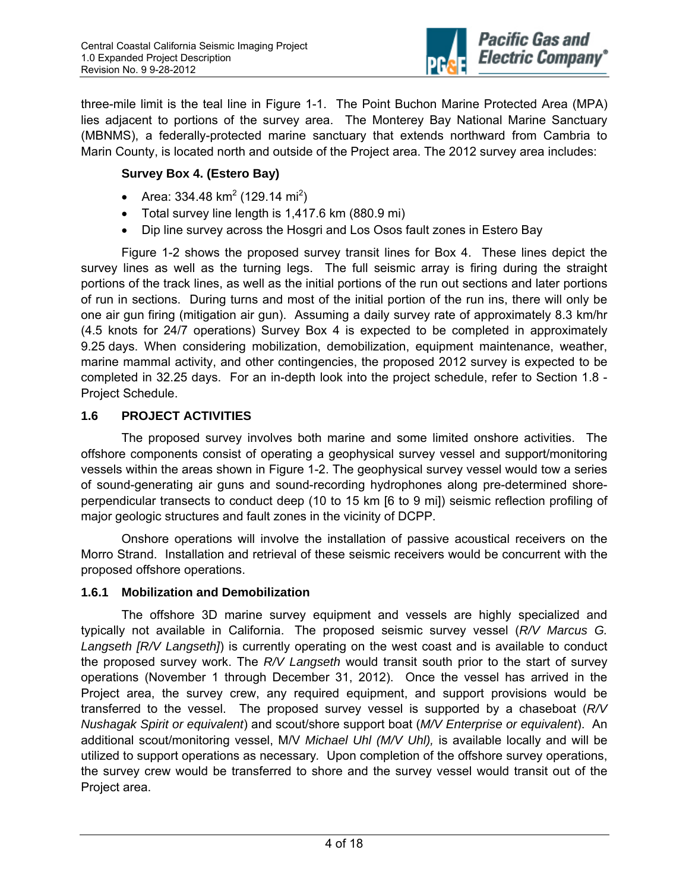

three-mile limit is the teal line in Figure 1-1. The Point Buchon Marine Protected Area (MPA) lies adjacent to portions of the survey area. The Monterey Bay National Marine Sanctuary (MBNMS), a federally-protected marine sanctuary that extends northward from Cambria to Marin County, is located north and outside of the Project area. The 2012 survey area includes:

### **Survey Box 4. (Estero Bay)**

- Area: 334.48 km<sup>2</sup> (129.14 mi<sup>2</sup>)
- Total survey line length is 1,417.6 km (880.9 mi)
- Dip line survey across the Hosgri and Los Osos fault zones in Estero Bay

Figure 1-2 shows the proposed survey transit lines for Box 4. These lines depict the survey lines as well as the turning legs. The full seismic array is firing during the straight portions of the track lines, as well as the initial portions of the run out sections and later portions of run in sections. During turns and most of the initial portion of the run ins, there will only be one air gun firing (mitigation air gun). Assuming a daily survey rate of approximately 8.3 km/hr (4.5 knots for 24/7 operations) Survey Box 4 is expected to be completed in approximately 9.25 days. When considering mobilization, demobilization, equipment maintenance, weather, marine mammal activity, and other contingencies, the proposed 2012 survey is expected to be completed in 32.25 days. For an in-depth look into the project schedule, refer to Section 1.8 - Project Schedule.

### **1.6 PROJECT ACTIVITIES**

The proposed survey involves both marine and some limited onshore activities. The offshore components consist of operating a geophysical survey vessel and support/monitoring vessels within the areas shown in Figure 1-2. The geophysical survey vessel would tow a series of sound-generating air guns and sound-recording hydrophones along pre-determined shoreperpendicular transects to conduct deep (10 to 15 km [6 to 9 mi]) seismic reflection profiling of major geologic structures and fault zones in the vicinity of DCPP.

Onshore operations will involve the installation of passive acoustical receivers on the Morro Strand. Installation and retrieval of these seismic receivers would be concurrent with the proposed offshore operations.

### **1.6.1 Mobilization and Demobilization**

The offshore 3D marine survey equipment and vessels are highly specialized and typically not available in California. The proposed seismic survey vessel (*R/V Marcus G. Langseth [R/V Langseth]*) is currently operating on the west coast and is available to conduct the proposed survey work. The *R/V Langseth* would transit south prior to the start of survey operations (November 1 through December 31, 2012). Once the vessel has arrived in the Project area, the survey crew, any required equipment, and support provisions would be transferred to the vessel. The proposed survey vessel is supported by a chaseboat (*R/V Nushagak Spirit or equivalent*) and scout/shore support boat (*M/V Enterprise or equivalent*). An additional scout/monitoring vessel, M/V *Michael Uhl (M/V Uhl),* is available locally and will be utilized to support operations as necessary*.* Upon completion of the offshore survey operations, the survey crew would be transferred to shore and the survey vessel would transit out of the Project area.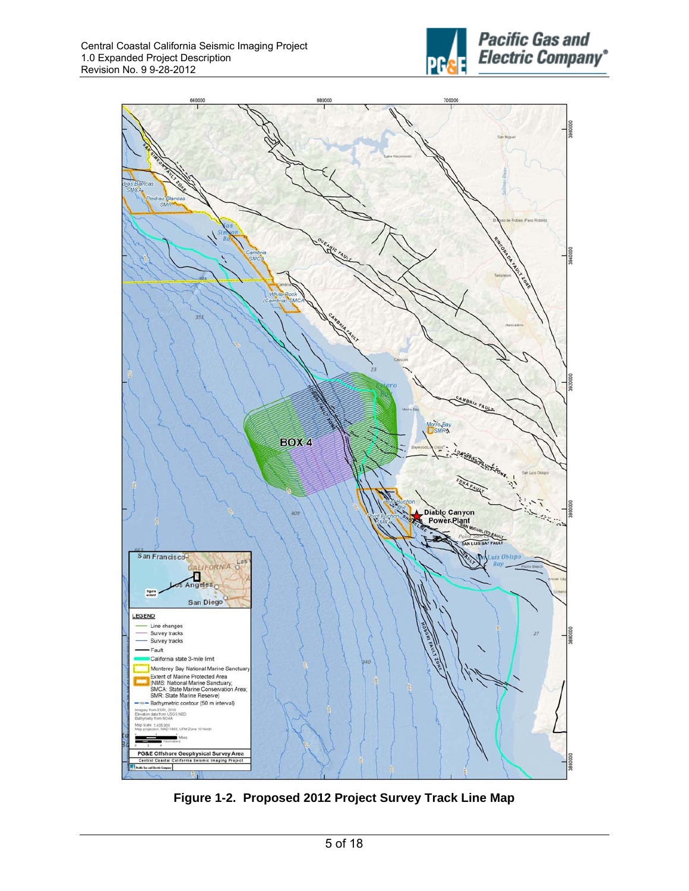



**Figure 1-2. Proposed 2012 Project Survey Track Line Map**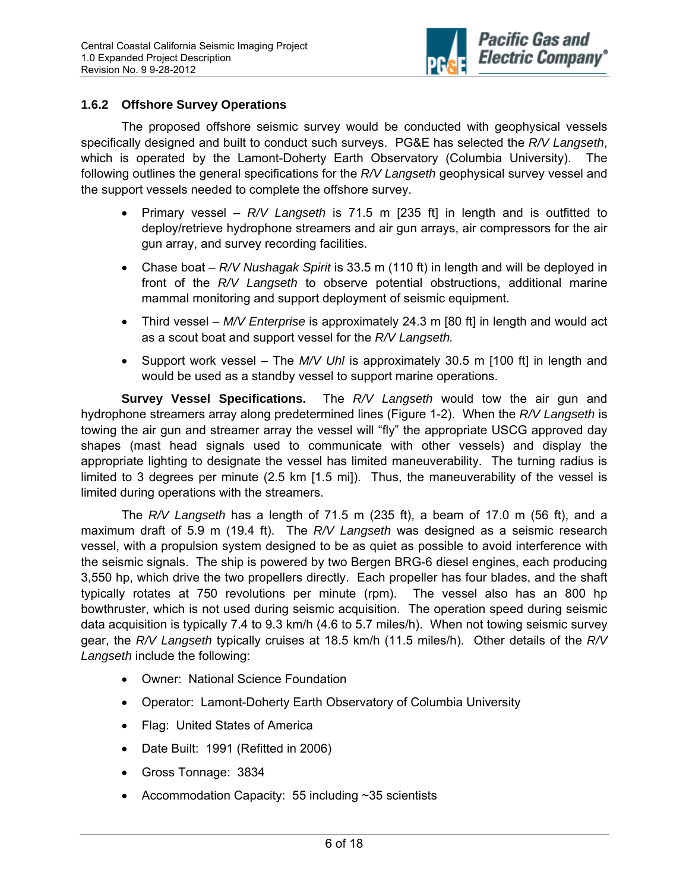

#### **1.6.2 Offshore Survey Operations**

The proposed offshore seismic survey would be conducted with geophysical vessels specifically designed and built to conduct such surveys. PG&E has selected the *R/V Langseth*, which is operated by the Lamont-Doherty Earth Observatory (Columbia University). The following outlines the general specifications for the *R/V Langseth* geophysical survey vessel and the support vessels needed to complete the offshore survey.

- Primary vessel *R/V Langseth* is 71.5 m [235 ft] in length and is outfitted to deploy/retrieve hydrophone streamers and air gun arrays, air compressors for the air gun array, and survey recording facilities.
- Chase boat *R/V Nushagak Spirit* is 33.5 m (110 ft) in length and will be deployed in front of the *R/V Langseth* to observe potential obstructions, additional marine mammal monitoring and support deployment of seismic equipment.
- Third vessel *M/V Enterprise* is approximately 24.3 m [80 ft] in length and would act as a scout boat and support vessel for the *R/V Langseth.*
- Support work vessel The *M/V Uhl* is approximately 30.5 m [100 ft] in length and would be used as a standby vessel to support marine operations.

**Survey Vessel Specifications.** The *R/V Langseth* would tow the air gun and hydrophone streamers array along predetermined lines (Figure 1-2). When the *R/V Langseth* is towing the air gun and streamer array the vessel will "fly" the appropriate USCG approved day shapes (mast head signals used to communicate with other vessels) and display the appropriate lighting to designate the vessel has limited maneuverability. The turning radius is limited to 3 degrees per minute (2.5 km [1.5 mi]). Thus, the maneuverability of the vessel is limited during operations with the streamers.

The *R/V Langseth* has a length of 71.5 m (235 ft), a beam of 17.0 m (56 ft), and a maximum draft of 5.9 m (19.4 ft). The *R/V Langseth* was designed as a seismic research vessel, with a propulsion system designed to be as quiet as possible to avoid interference with the seismic signals. The ship is powered by two Bergen BRG-6 diesel engines, each producing 3,550 hp, which drive the two propellers directly. Each propeller has four blades, and the shaft typically rotates at 750 revolutions per minute (rpm). The vessel also has an 800 hp bowthruster, which is not used during seismic acquisition. The operation speed during seismic data acquisition is typically 7.4 to 9.3 km/h (4.6 to 5.7 miles/h). When not towing seismic survey gear, the *R/V Langseth* typically cruises at 18.5 km/h (11.5 miles/h). Other details of the *R/V Langseth* include the following:

- Owner: National Science Foundation
- Operator: Lamont-Doherty Earth Observatory of Columbia University
- Flag: United States of America
- Date Built: 1991 (Refitted in 2006)
- Gross Tonnage: 3834
- Accommodation Capacity: 55 including  $\sim$ 35 scientists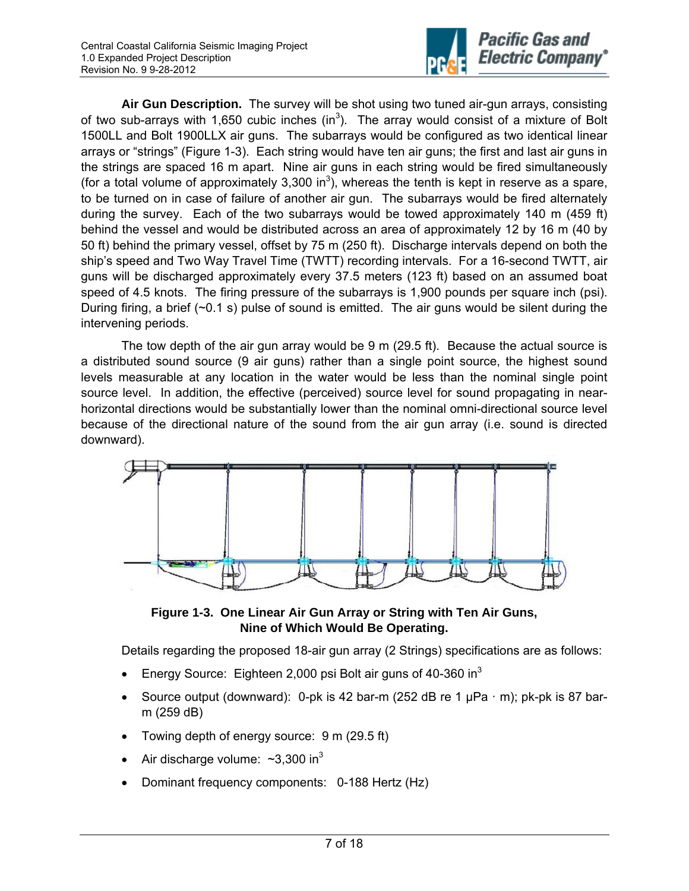

**Air Gun Description.** The survey will be shot using two tuned air-gun arrays, consisting of two sub-arrays with 1,650 cubic inches  $(in^3)$ . The array would consist of a mixture of Bolt 1500LL and Bolt 1900LLX air guns. The subarrays would be configured as two identical linear arrays or "strings" (Figure 1-3). Each string would have ten air guns; the first and last air guns in the strings are spaced 16 m apart. Nine air guns in each string would be fired simultaneously (for a total volume of approximately 3,300 in<sup>3</sup>), whereas the tenth is kept in reserve as a spare, to be turned on in case of failure of another air gun. The subarrays would be fired alternately during the survey. Each of the two subarrays would be towed approximately 140 m (459 ft) behind the vessel and would be distributed across an area of approximately 12 by 16 m (40 by 50 ft) behind the primary vessel, offset by 75 m (250 ft). Discharge intervals depend on both the ship's speed and Two Way Travel Time (TWTT) recording intervals. For a 16-second TWTT, air guns will be discharged approximately every 37.5 meters (123 ft) based on an assumed boat speed of 4.5 knots. The firing pressure of the subarrays is 1,900 pounds per square inch (psi). During firing, a brief  $(\sim 0.1 \text{ s})$  pulse of sound is emitted. The air guns would be silent during the intervening periods.

The tow depth of the air gun array would be 9 m (29.5 ft). Because the actual source is a distributed sound source (9 air guns) rather than a single point source, the highest sound levels measurable at any location in the water would be less than the nominal single point source level. In addition, the effective (perceived) source level for sound propagating in nearhorizontal directions would be substantially lower than the nominal omni-directional source level because of the directional nature of the sound from the air gun array (i.e. sound is directed downward).



**Figure 1-3. One Linear Air Gun Array or String with Ten Air Guns, Nine of Which Would Be Operating.** 

Details regarding the proposed 18-air gun array (2 Strings) specifications are as follows:

- Energy Source: Eighteen 2,000 psi Bolt air guns of 40-360 in<sup>3</sup>
- Source output (downward): 0-pk is 42 bar-m (252 dB re 1  $\mu$ Pa  $\cdot$  m); pk-pk is 87 barm (259 dB)
- Towing depth of energy source: 9 m (29.5 ft)
- Air discharge volume:  $\sim$ 3,300 in<sup>3</sup>
- Dominant frequency components: 0-188 Hertz (Hz)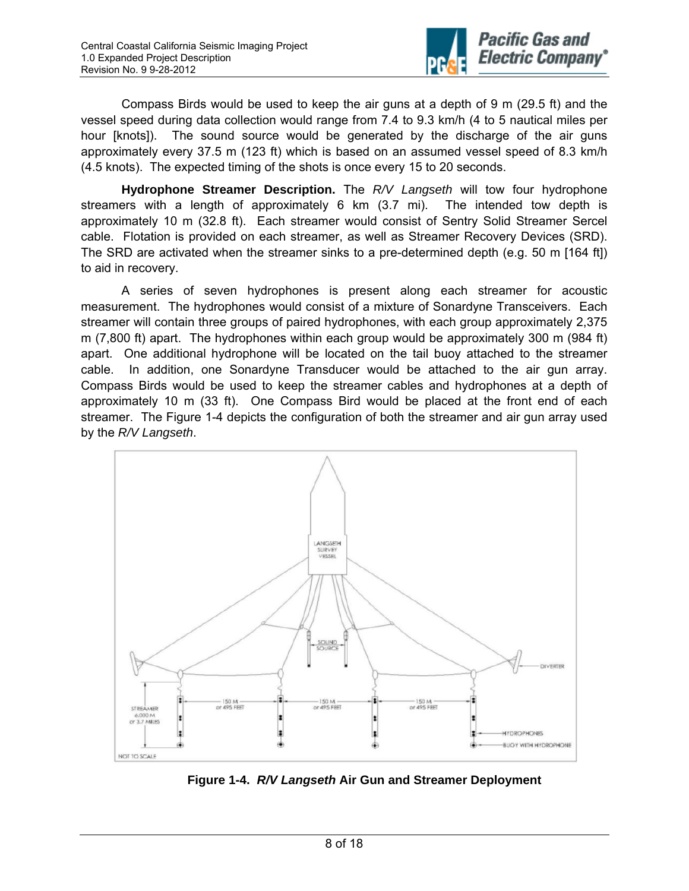

Compass Birds would be used to keep the air guns at a depth of 9 m (29.5 ft) and the vessel speed during data collection would range from 7.4 to 9.3 km/h (4 to 5 nautical miles per hour [knots]). The sound source would be generated by the discharge of the air guns approximately every 37.5 m (123 ft) which is based on an assumed vessel speed of 8.3 km/h (4.5 knots). The expected timing of the shots is once every 15 to 20 seconds.

**Hydrophone Streamer Description.** The *R/V Langseth* will tow four hydrophone streamers with a length of approximately 6 km (3.7 mi). The intended tow depth is approximately 10 m (32.8 ft). Each streamer would consist of Sentry Solid Streamer Sercel cable. Flotation is provided on each streamer, as well as Streamer Recovery Devices (SRD). The SRD are activated when the streamer sinks to a pre-determined depth (e.g. 50 m [164 ft]) to aid in recovery.

A series of seven hydrophones is present along each streamer for acoustic measurement. The hydrophones would consist of a mixture of Sonardyne Transceivers. Each streamer will contain three groups of paired hydrophones, with each group approximately 2,375 m (7,800 ft) apart. The hydrophones within each group would be approximately 300 m (984 ft) apart. One additional hydrophone will be located on the tail buoy attached to the streamer cable. In addition, one Sonardyne Transducer would be attached to the air gun array. Compass Birds would be used to keep the streamer cables and hydrophones at a depth of approximately 10 m (33 ft). One Compass Bird would be placed at the front end of each streamer. The Figure 1-4 depicts the configuration of both the streamer and air gun array used by the *R/V Langseth*.



**Figure 1-4.** *R/V Langseth* **Air Gun and Streamer Deployment**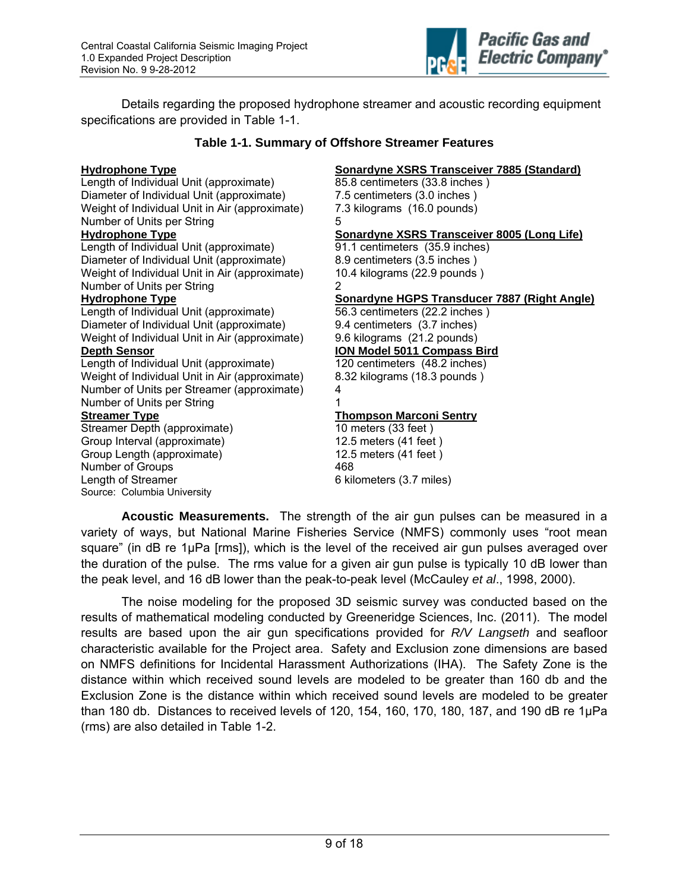

Details regarding the proposed hydrophone streamer and acoustic recording equipment specifications are provided in Table 1-1.

#### **Table 1-1. Summary of Offshore Streamer Features**

#### **Hydrophone Type Sonardyne XSRS Transceiver 7885 (Standard)**

Length of Individual Unit (approximate) 85.8 centimeters (33.8 inches ) Diameter of Individual Unit (approximate) 7.5 centimeters (3.0 inches ) Weight of Individual Unit in Air (approximate) 7.3 kilograms (16.0 pounds) Number of Units per String 5 **Hydrophone Type Sonardyne XSRS Transceiver 8005 (Long Life)**  Length of Individual Unit (approximate) 91.1 centimeters (35.9 inches)<br>Diameter of Individual Unit (approximate) 8.9 centimeters (3.5 inches) Diameter of Individual Unit (approximate) Weight of Individual Unit in Air (approximate) 10.4 kilograms (22.9 pounds) Number of Units per String 2 **Hydrophone Type Sonardyne HGPS Transducer 7887 (Right Angle)** Sonardyne HGPS Transducer 7887 (Right Angle) Length of Individual Unit (approximate) 56.3 centimeters (22.2 inches ) Diameter of Individual Unit (approximate) 9.4 centimeters (3.7 inches) Weight of Individual Unit in Air (approximate) 9.6 kilograms (21.2 pounds) **Depth Sensor ION Model 5011 Compass Bird** Length of Individual Unit (approximate) 120 centimeters (48.2 inches) Weight of Individual Unit in Air (approximate) 8.32 kilograms (18.3 pounds ) Number of Units per Streamer (approximate) 4 Number of Units per String 1 **Streamer Type Thompson Marconi Sentry** Streamer Depth (approximate) 10 meters (33 feet) Group Interval (approximate) 12.5 meters (41 feet ) Group Length (approximate) 12.5 meters (41 feet ) Number of Groups 468 Length of Streamer 6 kilometers (3.7 miles) Source: Columbia University

**Acoustic Measurements.** The strength of the air gun pulses can be measured in a variety of ways, but National Marine Fisheries Service (NMFS) commonly uses "root mean square" (in dB re 1µPa [rms]), which is the level of the received air gun pulses averaged over the duration of the pulse. The rms value for a given air gun pulse is typically 10 dB lower than the peak level, and 16 dB lower than the peak-to-peak level (McCauley *et al*., 1998, 2000).

The noise modeling for the proposed 3D seismic survey was conducted based on the results of mathematical modeling conducted by Greeneridge Sciences, Inc. (2011). The model results are based upon the air gun specifications provided for *R/V Langseth* and seafloor characteristic available for the Project area. Safety and Exclusion zone dimensions are based on NMFS definitions for Incidental Harassment Authorizations (IHA). The Safety Zone is the distance within which received sound levels are modeled to be greater than 160 db and the Exclusion Zone is the distance within which received sound levels are modeled to be greater than 180 db. Distances to received levels of 120, 154, 160, 170, 180, 187, and 190 dB re 1µPa (rms) are also detailed in Table 1-2.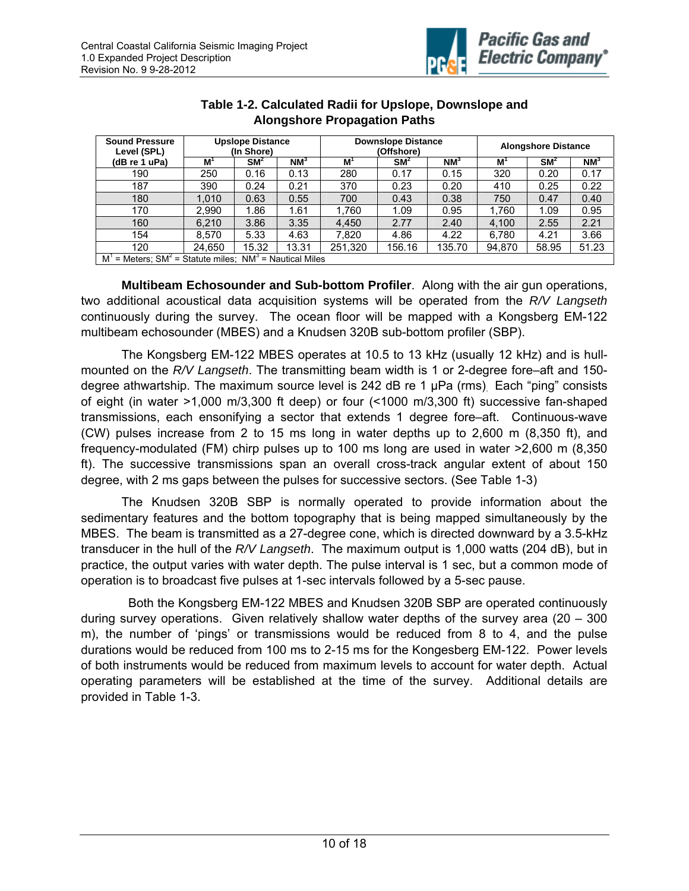

| <b>Sound Pressure</b><br>Level (SPL)                               | <b>Upslope Distance</b><br>(In Shore) |        |        | <b>Downslope Distance</b><br>(Offshore) |        |        | <b>Alongshore Distance</b> |        |        |
|--------------------------------------------------------------------|---------------------------------------|--------|--------|-----------------------------------------|--------|--------|----------------------------|--------|--------|
| (dB re 1 uPa)                                                      | M                                     | $SM^2$ | $NM^3$ | M                                       | $SM^2$ | $NM^3$ | М                          | $SM^2$ | $NM^3$ |
| 190                                                                | 250                                   | 0.16   | 0.13   | 280                                     | 0.17   | 0.15   | 320                        | 0.20   | 0.17   |
| 187                                                                | 390                                   | 0.24   | 0.21   | 370                                     | 0.23   | 0.20   | 410                        | 0.25   | 0.22   |
| 180                                                                | 1.010                                 | 0.63   | 0.55   | 700                                     | 0.43   | 0.38   | 750                        | 0.47   | 0.40   |
| 170                                                                | 2.990                                 | 1.86   | 1.61   | 1.760                                   | 1.09   | 0.95   | 1.760                      | 1.09   | 0.95   |
| 160                                                                | 6.210                                 | 3.86   | 3.35   | 4.450                                   | 2.77   | 2.40   | 4.100                      | 2.55   | 2.21   |
| 154                                                                | 8.570                                 | 5.33   | 4.63   | 7.820                                   | 4.86   | 4.22   | 6.780                      | 4.21   | 3.66   |
| 120                                                                | 24.650                                | 15.32  | 13.31  | 251,320                                 | 156.16 | 135.70 | 94,870                     | 58.95  | 51.23  |
| = Meters: $SM^2$ = Statute miles:<br>$NM^3$ = Nautical Miles<br>M' |                                       |        |        |                                         |        |        |                            |        |        |

### **Table 1-2. Calculated Radii for Upslope, Downslope and Alongshore Propagation Paths**

**Multibeam Echosounder and Sub-bottom Profiler**. Along with the air gun operations, two additional acoustical data acquisition systems will be operated from the *R/V Langseth*  continuously during the survey. The ocean floor will be mapped with a Kongsberg EM-122 multibeam echosounder (MBES) and a Knudsen 320B sub-bottom profiler (SBP).

The Kongsberg EM-122 MBES operates at 10.5 to 13 kHz (usually 12 kHz) and is hullmounted on the *R/V Langseth*. The transmitting beam width is 1 or 2-degree fore–aft and 150 degree athwartship. The maximum source level is 242 dB re 1 μPa (rms). Each "ping" consists of eight (in water >1,000 m/3,300 ft deep) or four (<1000 m/3,300 ft) successive fan-shaped transmissions, each ensonifying a sector that extends 1 degree fore–aft. Continuous-wave (CW) pulses increase from 2 to 15 ms long in water depths up to 2,600 m (8,350 ft), and frequency-modulated (FM) chirp pulses up to 100 ms long are used in water >2,600 m (8,350 ft). The successive transmissions span an overall cross-track angular extent of about 150 degree, with 2 ms gaps between the pulses for successive sectors. (See Table 1-3)

The Knudsen 320B SBP is normally operated to provide information about the sedimentary features and the bottom topography that is being mapped simultaneously by the MBES. The beam is transmitted as a 27-degree cone, which is directed downward by a 3.5-kHz transducer in the hull of the *R/V Langseth*. The maximum output is 1,000 watts (204 dB), but in practice, the output varies with water depth. The pulse interval is 1 sec, but a common mode of operation is to broadcast five pulses at 1-sec intervals followed by a 5-sec pause.

 Both the Kongsberg EM-122 MBES and Knudsen 320B SBP are operated continuously during survey operations. Given relatively shallow water depths of the survey area (20 – 300 m), the number of 'pings' or transmissions would be reduced from 8 to 4, and the pulse durations would be reduced from 100 ms to 2-15 ms for the Kongesberg EM-122. Power levels of both instruments would be reduced from maximum levels to account for water depth. Actual operating parameters will be established at the time of the survey.Additional details are provided in Table 1-3.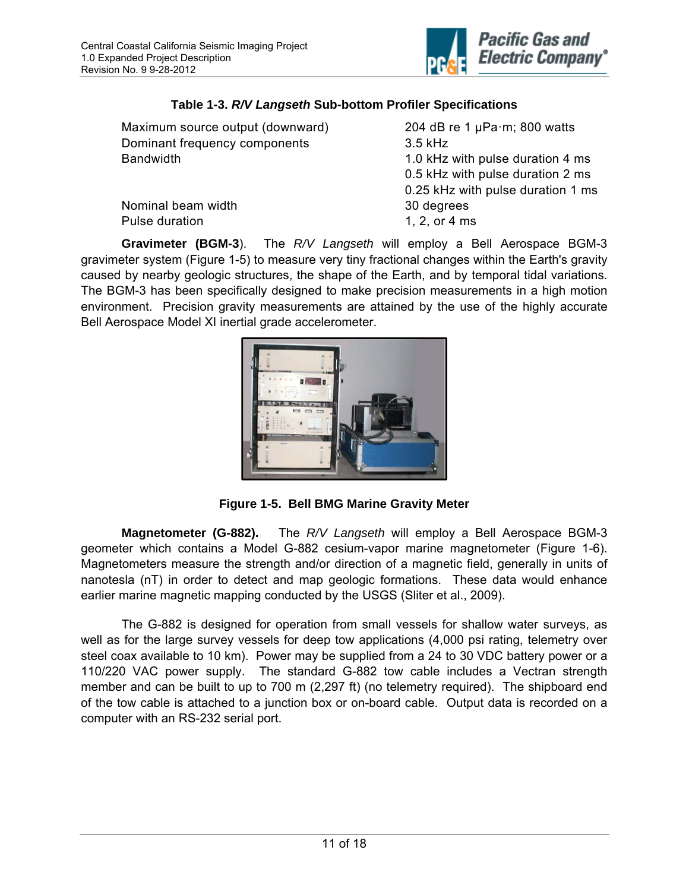

### **Table 1-3.** *R/V Langseth* **Sub-bottom Profiler Specifications**

| Maximum source output (downward) | 204 dB re 1 $\mu$ Pa·m; 800 watts |  |  |  |  |
|----------------------------------|-----------------------------------|--|--|--|--|
| Dominant frequency components    | 3.5 kHz                           |  |  |  |  |
| Bandwidth                        | 1.0 kHz with pulse duration 4 ms  |  |  |  |  |
|                                  | 0.5 kHz with pulse duration 2 ms  |  |  |  |  |
|                                  | 0.25 kHz with pulse duration 1 ms |  |  |  |  |
| Nominal beam width               | 30 degrees                        |  |  |  |  |
| Pulse duration                   | 1, 2, or 4 ms                     |  |  |  |  |
|                                  |                                   |  |  |  |  |

**Gravimeter (BGM-3**). The *R/V Langseth* will employ a Bell Aerospace BGM-3 gravimeter system (Figure 1-5) to measure very tiny fractional changes within the Earth's gravity caused by nearby geologic structures, the shape of the Earth, and by temporal tidal variations. The BGM-3 has been specifically designed to make precision measurements in a high motion environment. Precision gravity measurements are attained by the use of the highly accurate Bell Aerospace Model XI inertial grade accelerometer.



**Figure 1-5. Bell BMG Marine Gravity Meter** 

**Magnetometer (G-882).** The *R/V Langseth* will employ a Bell Aerospace BGM-3 geometer which contains a Model G-882 cesium-vapor marine magnetometer (Figure 1-6). Magnetometers measure the strength and/or direction of a magnetic field, generally in units of nanotesla (nT) in order to detect and map geologic formations. These data would enhance earlier marine magnetic mapping conducted by the USGS (Sliter et al., 2009).

The G-882 is designed for operation from small vessels for shallow water surveys, as well as for the large survey vessels for deep tow applications (4,000 psi rating, telemetry over steel coax available to 10 km). Power may be supplied from a 24 to 30 VDC battery power or a 110/220 VAC power supply. The standard G-882 tow cable includes a Vectran strength member and can be built to up to 700 m (2,297 ft) (no telemetry required). The shipboard end of the tow cable is attached to a junction box or on-board cable. Output data is recorded on a computer with an RS-232 serial port.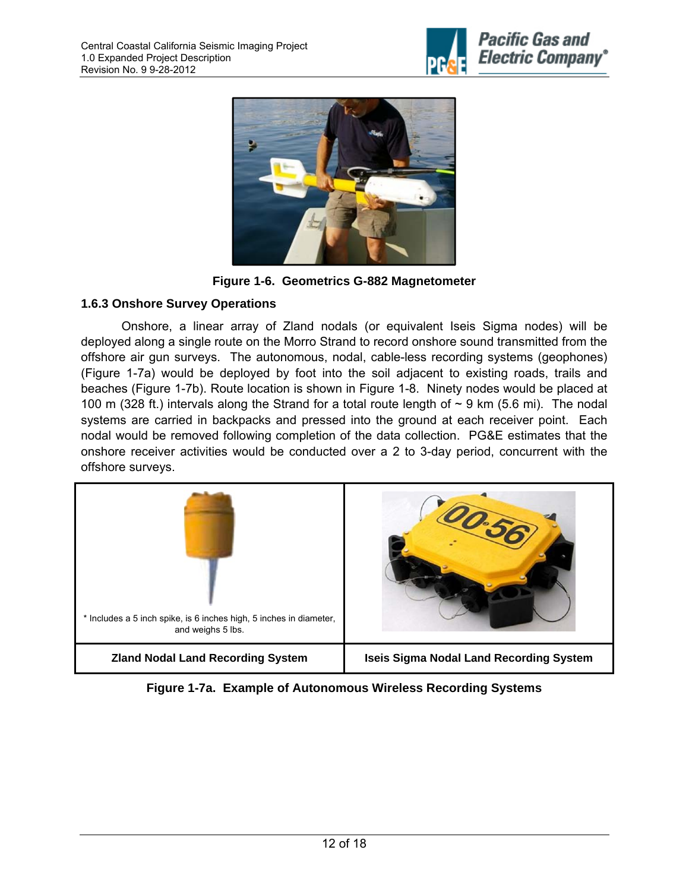





### **1.6.3 Onshore Survey Operations**

Onshore, a linear array of Zland nodals (or equivalent Iseis Sigma nodes) will be deployed along a single route on the Morro Strand to record onshore sound transmitted from the offshore air gun surveys. The autonomous, nodal, cable-less recording systems (geophones) (Figure 1-7a) would be deployed by foot into the soil adjacent to existing roads, trails and beaches (Figure 1-7b). Route location is shown in Figure 1-8. Ninety nodes would be placed at 100 m (328 ft.) intervals along the Strand for a total route length of  $\sim$  9 km (5.6 mi). The nodal systems are carried in backpacks and pressed into the ground at each receiver point. Each nodal would be removed following completion of the data collection. PG&E estimates that the onshore receiver activities would be conducted over a 2 to 3-day period, concurrent with the offshore surveys.



**Figure 1-7a. Example of Autonomous Wireless Recording Systems**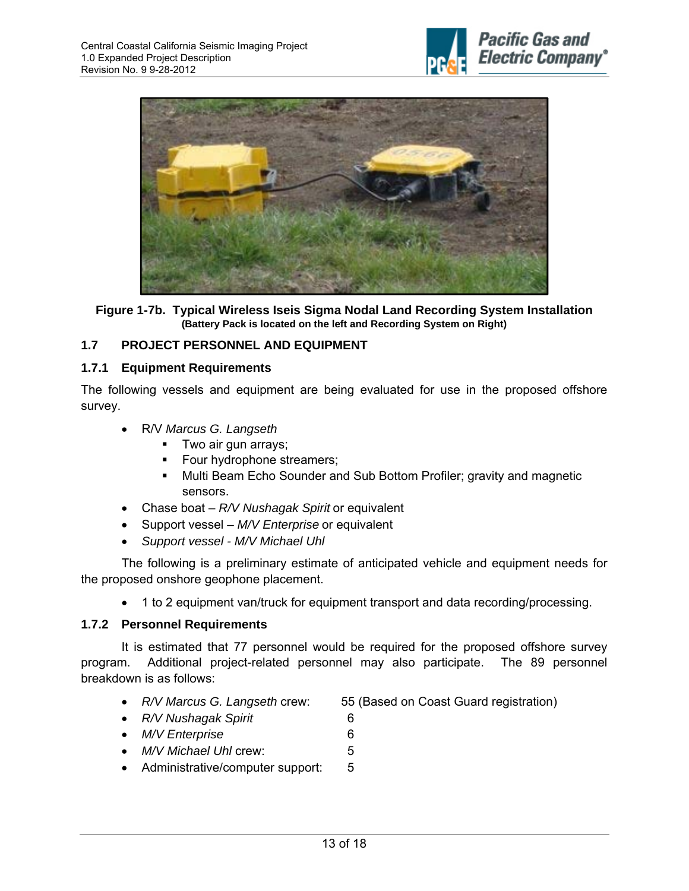



**Figure 1-7b. Typical Wireless Iseis Sigma Nodal Land Recording System Installation (Battery Pack is located on the left and Recording System on Right)** 

### **1.7 PROJECT PERSONNEL AND EQUIPMENT**

#### **1.7.1 Equipment Requirements**

The following vessels and equipment are being evaluated for use in the proposed offshore survey.

- R/V *Marcus G. Langseth*
	- **Two air gun arrays;**
	- Four hydrophone streamers;
	- **Multi Beam Echo Sounder and Sub Bottom Profiler; gravity and magnetic** sensors.
- Chase boat *R/V Nushagak Spirit* or equivalent
- Support vessel *M/V Enterprise* or equivalent
- *Support vessel M/V Michael Uhl*

The following is a preliminary estimate of anticipated vehicle and equipment needs for the proposed onshore geophone placement.

1 to 2 equipment van/truck for equipment transport and data recording/processing.

#### **1.7.2 Personnel Requirements**

It is estimated that 77 personnel would be required for the proposed offshore survey program. Additional project-related personnel may also participate. The 89 personnel breakdown is as follows:

- *R/V Marcus G. Langseth* crew: 55 (Based on Coast Guard registration)
- *R/V Nushagak Spirit* 6
- *M/V Enterprise* 6
- *M/V Michael Uhl* crew: 5
- Administrative/computer support: 5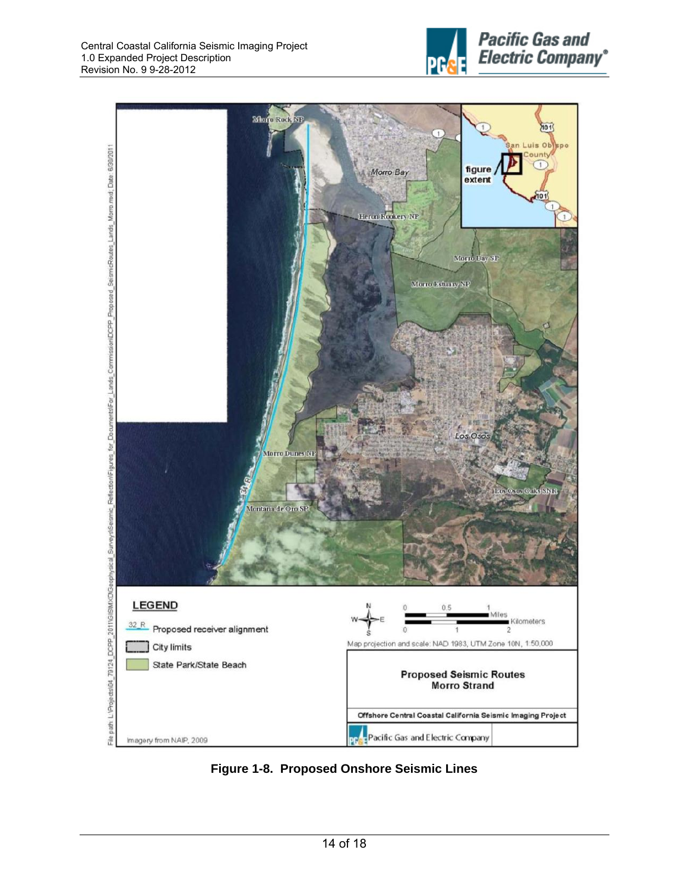



**Figure 1-8. Proposed Onshore Seismic Lines**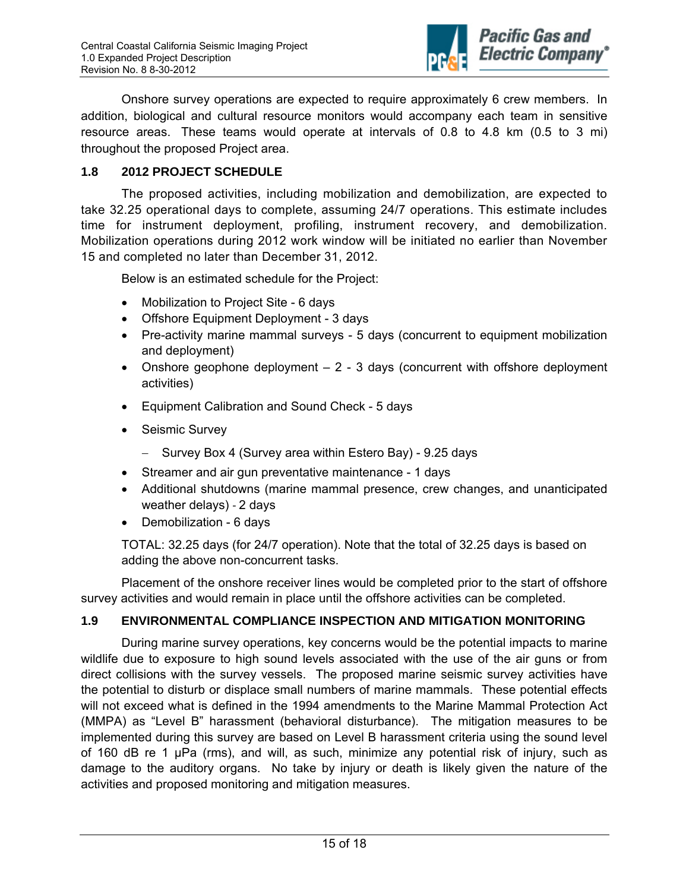

Onshore survey operations are expected to require approximately 6 crew members. In addition, biological and cultural resource monitors would accompany each team in sensitive resource areas. These teams would operate at intervals of 0.8 to 4.8 km (0.5 to 3 mi) throughout the proposed Project area.

### **1.8 2012 PROJECT SCHEDULE**

The proposed activities, including mobilization and demobilization, are expected to take 32.25 operational days to complete, assuming 24/7 operations. This estimate includes time for instrument deployment, profiling, instrument recovery, and demobilization. Mobilization operations during 2012 work window will be initiated no earlier than November 15 and completed no later than December 31, 2012.

Below is an estimated schedule for the Project:

- Mobilization to Project Site 6 days
- Offshore Equipment Deployment 3 days
- Pre-activity marine mammal surveys 5 days (concurrent to equipment mobilization and deployment)
- Onshore geophone deployment  $-2 3$  days (concurrent with offshore deployment activities)
- Equipment Calibration and Sound Check 5 days
- Seismic Survey
	- Survey Box 4 (Survey area within Estero Bay) 9.25 days
- Streamer and air gun preventative maintenance 1 days
- Additional shutdowns (marine mammal presence, crew changes, and unanticipated weather delays) ‐ 2 days
- Demobilization 6 days

TOTAL: 32.25 days (for 24/7 operation). Note that the total of 32.25 days is based on adding the above non-concurrent tasks.

Placement of the onshore receiver lines would be completed prior to the start of offshore survey activities and would remain in place until the offshore activities can be completed.

#### **1.9 ENVIRONMENTAL COMPLIANCE INSPECTION AND MITIGATION MONITORING**

During marine survey operations, key concerns would be the potential impacts to marine wildlife due to exposure to high sound levels associated with the use of the air guns or from direct collisions with the survey vessels. The proposed marine seismic survey activities have the potential to disturb or displace small numbers of marine mammals. These potential effects will not exceed what is defined in the 1994 amendments to the Marine Mammal Protection Act (MMPA) as "Level B" harassment (behavioral disturbance). The mitigation measures to be implemented during this survey are based on Level B harassment criteria using the sound level of 160 dB re 1 µPa (rms), and will, as such, minimize any potential risk of injury, such as damage to the auditory organs. No take by injury or death is likely given the nature of the activities and proposed monitoring and mitigation measures.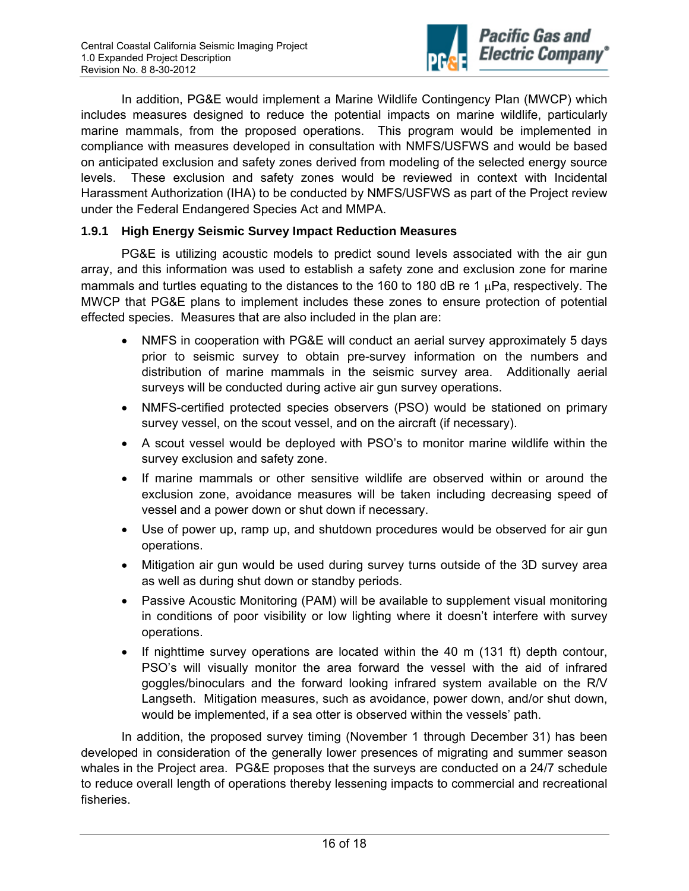

In addition, PG&E would implement a Marine Wildlife Contingency Plan (MWCP) which includes measures designed to reduce the potential impacts on marine wildlife, particularly marine mammals, from the proposed operations. This program would be implemented in compliance with measures developed in consultation with NMFS/USFWS and would be based on anticipated exclusion and safety zones derived from modeling of the selected energy source levels. These exclusion and safety zones would be reviewed in context with Incidental Harassment Authorization (IHA) to be conducted by NMFS/USFWS as part of the Project review under the Federal Endangered Species Act and MMPA.

### **1.9.1 High Energy Seismic Survey Impact Reduction Measures**

PG&E is utilizing acoustic models to predict sound levels associated with the air gun array, and this information was used to establish a safety zone and exclusion zone for marine mammals and turtles equating to the distances to the 160 to 180 dB re 1  $\mu$ Pa, respectively. The MWCP that PG&E plans to implement includes these zones to ensure protection of potential effected species. Measures that are also included in the plan are:

- NMFS in cooperation with PG&E will conduct an aerial survey approximately 5 days prior to seismic survey to obtain pre-survey information on the numbers and distribution of marine mammals in the seismic survey area. Additionally aerial surveys will be conducted during active air gun survey operations.
- NMFS-certified protected species observers (PSO) would be stationed on primary survey vessel, on the scout vessel, and on the aircraft (if necessary).
- A scout vessel would be deployed with PSO's to monitor marine wildlife within the survey exclusion and safety zone.
- If marine mammals or other sensitive wildlife are observed within or around the exclusion zone, avoidance measures will be taken including decreasing speed of vessel and a power down or shut down if necessary.
- Use of power up, ramp up, and shutdown procedures would be observed for air gun operations.
- Mitigation air gun would be used during survey turns outside of the 3D survey area as well as during shut down or standby periods.
- Passive Acoustic Monitoring (PAM) will be available to supplement visual monitoring in conditions of poor visibility or low lighting where it doesn't interfere with survey operations.
- $\bullet$  If nighttime survey operations are located within the 40 m (131 ft) depth contour, PSO's will visually monitor the area forward the vessel with the aid of infrared goggles/binoculars and the forward looking infrared system available on the R/V Langseth. Mitigation measures, such as avoidance, power down, and/or shut down, would be implemented, if a sea otter is observed within the vessels' path.

In addition, the proposed survey timing (November 1 through December 31) has been developed in consideration of the generally lower presences of migrating and summer season whales in the Project area. PG&E proposes that the surveys are conducted on a 24/7 schedule to reduce overall length of operations thereby lessening impacts to commercial and recreational fisheries.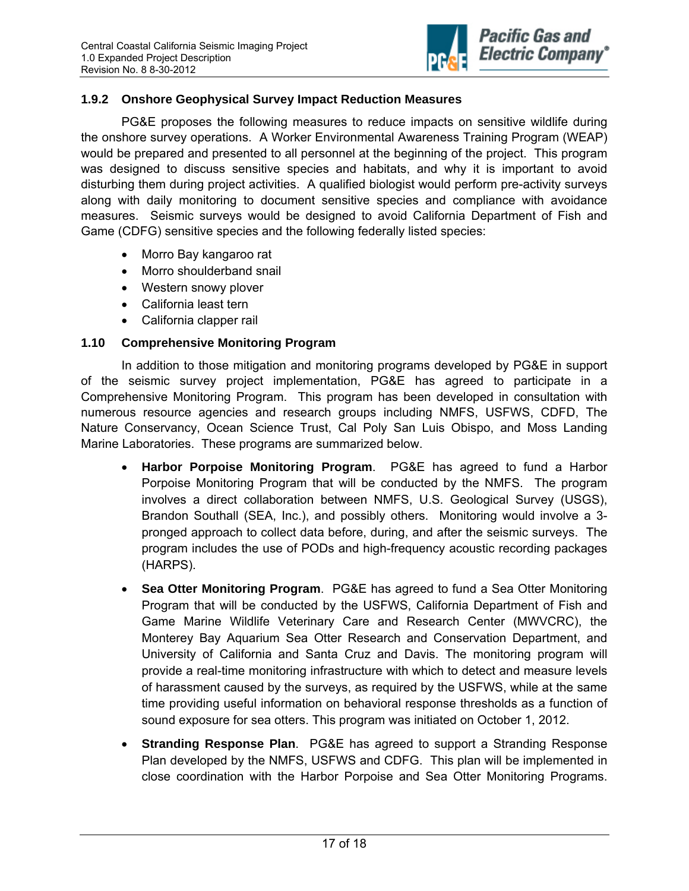

### **1.9.2 Onshore Geophysical Survey Impact Reduction Measures**

PG&E proposes the following measures to reduce impacts on sensitive wildlife during the onshore survey operations. A Worker Environmental Awareness Training Program (WEAP) would be prepared and presented to all personnel at the beginning of the project. This program was designed to discuss sensitive species and habitats, and why it is important to avoid disturbing them during project activities. A qualified biologist would perform pre-activity surveys along with daily monitoring to document sensitive species and compliance with avoidance measures. Seismic surveys would be designed to avoid California Department of Fish and Game (CDFG) sensitive species and the following federally listed species:

- Morro Bay kangaroo rat
- Morro shoulderband snail
- Western snowy plover
- California least tern
- California clapper rail

# **1.10 Comprehensive Monitoring Program**

In addition to those mitigation and monitoring programs developed by PG&E in support of the seismic survey project implementation, PG&E has agreed to participate in a Comprehensive Monitoring Program. This program has been developed in consultation with numerous resource agencies and research groups including NMFS, USFWS, CDFD, The Nature Conservancy, Ocean Science Trust, Cal Poly San Luis Obispo, and Moss Landing Marine Laboratories. These programs are summarized below.

- **Harbor Porpoise Monitoring Program**. PG&E has agreed to fund a Harbor Porpoise Monitoring Program that will be conducted by the NMFS. The program involves a direct collaboration between NMFS, U.S. Geological Survey (USGS), Brandon Southall (SEA, Inc.), and possibly others. Monitoring would involve a 3 pronged approach to collect data before, during, and after the seismic surveys. The program includes the use of PODs and high-frequency acoustic recording packages (HARPS).
- **Sea Otter Monitoring Program**. PG&E has agreed to fund a Sea Otter Monitoring Program that will be conducted by the USFWS, California Department of Fish and Game Marine Wildlife Veterinary Care and Research Center (MWVCRC), the Monterey Bay Aquarium Sea Otter Research and Conservation Department, and University of California and Santa Cruz and Davis. The monitoring program will provide a real-time monitoring infrastructure with which to detect and measure levels of harassment caused by the surveys, as required by the USFWS, while at the same time providing useful information on behavioral response thresholds as a function of sound exposure for sea otters. This program was initiated on October 1, 2012.
- **Stranding Response Plan**. PG&E has agreed to support a Stranding Response Plan developed by the NMFS, USFWS and CDFG. This plan will be implemented in close coordination with the Harbor Porpoise and Sea Otter Monitoring Programs.